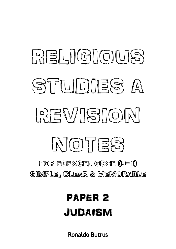# RELIGIOUS STUDIES A REVISION MOTES

FOR EDEXCEL GCSE (9-1) SIMPLE, CLEAR & MEMORABLE

# PAPER 2 JUDAISM

**Ronaldo Butrus**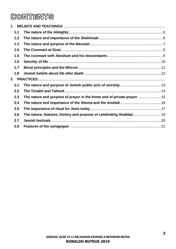### **CONTENTS**

| 1.1          |                                                                                                                                               |
|--------------|-----------------------------------------------------------------------------------------------------------------------------------------------|
| 1.2          |                                                                                                                                               |
| 1.3          |                                                                                                                                               |
| 1.4          |                                                                                                                                               |
| 1.5          |                                                                                                                                               |
| 1.6          |                                                                                                                                               |
| 1.7          |                                                                                                                                               |
| 1.8          |                                                                                                                                               |
| $\mathbf{2}$ |                                                                                                                                               |
| 2.1          |                                                                                                                                               |
| 2.2          |                                                                                                                                               |
| 2.3          |                                                                                                                                               |
| 2.4          |                                                                                                                                               |
| 2.5          |                                                                                                                                               |
| 2.6          |                                                                                                                                               |
| 2.7          |                                                                                                                                               |
| 2.8          |                                                                                                                                               |
|              | The nature and purpose of prayer in the home and of private prayer  15<br>The nature, features, history and purpose of celebrating Shabbat 19 |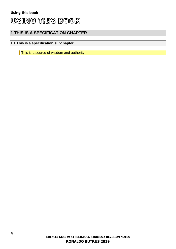#### **1 THIS IS A SPECIFICATION CHAPTER**

#### **1.1 This is a specification subchapter**

This is a source of wisdom and authority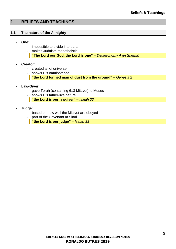#### <span id="page-4-0"></span>**1 BELIEFS AND TEACHINGS**

#### <span id="page-4-1"></span>**1.1 The nature of the Almighty**

- **One**:
	- impossible to divide into parts
	- makes Judaism monotheistic **"The Lord our God, the Lord is one"** *– Deuteronomy 4 (in Shema)*
- **Creator**:
	- created all of universe
	- shows His omnipotence
		- **"the Lord formed man of dust from the ground"** *– Genesis 2*
- **Law-Giver**:
	- gave Torah (containing 613 Mitzvot) to Moses
	- shows His father-like nature
		- **"the Lord is our lawgiver"** *– Isaiah 33*
- **Judge**:
	- based on how well the Mitzvot are obeyed
	- part of the Covenant at Sinai
		- **"the Lord is our judge"** *– Isaiah 33*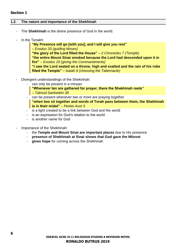#### **Section 1**

#### <span id="page-5-0"></span>**1.2 The nature and importance of the Shekhinah**

- The **Shekhinah** is the divine presence of God in the world.
- In the Tenakh:

**"My Presence will go [with you], and I will give you rest"** *– Exodus 33 (guiding Moses)* **"the glory of the Lord filled the House"** *– 2 Chronicles 7 (Temple)* **"the entire Mount Sinai smoked because the Lord had descended upon it in fire"** *– Exodus 19 (giving the Commandments)* **"I saw the Lord seated on a throne, high and exalted and the rain of his robe filled the Temple"** *– Isaiah 6 (choosing the Tabernacle)*

- Divergent understandings of the Shekinhah:
	- can only be present in a minvan
		- **"Whenever ten are gathered for prayer, there the Shekhinah rests"**  *– Talmud Sanhedrin 39*
	- can be present whenever two or more are praying together **"when two sit together and words of Torah pass between them, the Shekhinah is in their midst"** *– Perkei Avot 3*
	- is a light created to be a link between God and the world
	- is an expression for God's relation to the world
	- is another name for God
- Importance of the Shekhinah:
	- the **Temple and Mount Sinai are important places** due to His presence
	- **presence of Shekhinah at Sinai shows that God gave the Mitzvot**
	- **gives hope** for coming across the Shekhinah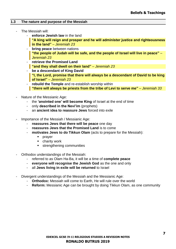#### <span id="page-6-0"></span>**1.3 The nature and purpose of the Messiah**

- The Messiah will:
	- enforce Jewish law in the land
		- **"A king will reign and prosper and he will administer justice and righteousness in the land"** *– Jeremiah 23*
	- **bring peace** between nations **"the people of Judah will be safe, and the people of Israel will live in peace"** *– Jeremiah 23*
	- **retrieve the Promised Land "and they shall dwell on their land"** *– Jeremiah 23*
	- **be a descendant of King David**
		- **"I, the Lord, promise that there will always be a descendant of David to be king of Israel"** *– Jeremiah 23*
	- **rebuild the Temple** and re-establish worship within **"there will always be priests from the tribe of Levi to serve me"** *– Jeremiah 33*
- Nature of the Messianic Age:
	- the **'anointed one' will become King** of Israel at the end of time
	- only **described in the Nevi'im** (prophets)
	- an **ancient idea to reassure Jews** forced into exile
- Importance of the Messiah / Messianic Age:
	- **reassures Jews that there will be peace** one day
	- **reassures Jews that the Promised Land** is to come
	- **motivates Jews to do Tikkun Olam** (acts to prepare for the Messiah):
		- prayer
		- charity work
		- **EXECUTE:** strengthening communities
- Orthodox understandings of the Messiah:
	- referred to as Olam Ha-Ba, it will be a time of **complete peace**
	- **everyone will recognise the Jewish God** as the one and only
	- all **Jews living in exile will be returned** to Israel
- Divergent understandings of the Messiah and the Messianic Age:
	- **Orthodox:** Messiah will come to Earth, He will rule over the world
	- **Reform:** Messianic Age can be brought by doing Tikkun Olam, as one community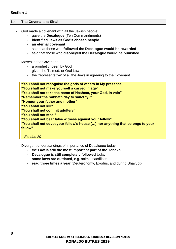#### **Section 1**

#### <span id="page-7-0"></span>**1.4 The Covenant at Sinai**

- God made a covenant with all the Jewish people:
	- gave the **Decalogue** (Ten Commandments)
	- **identified Jews as God's chosen people**
	- **an eternal covenant**
	- said that those who **followed the Decalogue would be rewarded**
	- said that those who **disobeyed the Decalogue would be punished**
- Moses in the Covenant:
	- a prophet chosen by God
	- given the Talmud, or Oral Law
	- the 'representative' of all the Jews in agreeing to the Covenant

**"You shall not recognise the gods of others in My presence" "You shall not make yourself a carved image" "You shall not take the name of Hashem, your God, in vain" "Remember the Sabbath day to sanctify it" "Honour your father and mother" "You shall not kill" "You shall not commit adultery" "You shall not steal" "You shall not bear false witness against your fellow" "You shall not covet your fellow's house […] nor anything that belongs to your fellow"**

*– Exodus 20*

- Divergent understandings of importance of Decalogue today:
	- the **Law is still the most important part of the Tenakh**
	- **Decalogue is still completely followed** today
	- **some laws are outdated**, e.g. animal sacrifices
	- **read three times a year** (Deuteronomy, Exodus, and during Shavuot)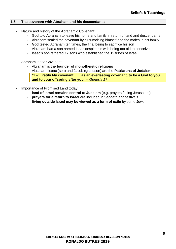#### <span id="page-8-0"></span>**1.5 The covenant with Abraham and his descendants**

- Nature and history of the Abrahamic Covenant:
	- God told Abraham to leave his home and family in return of land and descendants
	- Abraham sealed the covenant by circumcising himself and the males in his family
	- God tested Abraham ten times, the final being to sacrifice his son
	- Abraham had a son named Isaac despite his wife being too old to conceive
	- Isaac's son fathered 12 sons who established the 12 tribes of Israel
- Abraham in the Covenant:
	- Abraham is the **founder of monotheistic religions**
	- Abraham, Isaac (son) and Jacob (grandson) are the **Patriarchs of Judaism "I will ratify My covenant […] as an everlasting covenant, to be a God to you and to your offspring after you"** *– Genesis 17*
- Importance of Promised Land today:
	- land of Israel remains central to Judaism (e.g. prayers facing Jerusalem)
	- **prayers for a return to Israel** are included in Sabbath and festivals
	- **living outside Israel may be viewed as a form of exile** by some Jews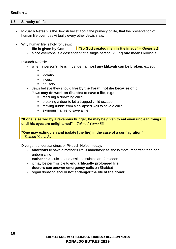#### <span id="page-9-0"></span>**1.6 Sanctity of life**

- **Pikuach Nefesh** is the Jewish belief about the primacy of life, that the preservation of human life overrides virtually every other Jewish law.
- Why human life is holy for Jews:
	- **life is given by God "So God created man in His image"** *– Genesis 1*
	- since everyone is a descendant of a single person, **killing one means killing all**
- Pikuach Nefesh:
	- when a person's life is in danger, **almost any Mitzvah can be broken**, except:
		- murder
		- idolatry
		- incest
		- adultery
	- Jews believe they should **live by the Torah, not die because of it**
		- Jews **may do work on Shabbat to save a life**, e.g.:
			- rescuing a drowning child
			- breaking a door to let a trapped child escape
			- moving rubble from a collapsed wall to save a child
			- extinguish a fire to save a life

**"If one is seized by a ravenous hunger, he may be given to eat even unclean things until his eyes are enlightened"** *– Talmud Yoma 83*

**"One may extinguish and isolate [the fire] in the case of a conflagration"** *– Talmud Yoma 84*

- Divergent understandings of Pikuach Nefesh today:
	- **abortions** to save a mother's life is mandatory as she is more important than her unborn child
	- **euthanasia**, suicide and assisted suicide are forbidden
	- it may be permissible to **end artificially prolonged life**
	- **doctors can answer emergency calls** on Shabbat
	- organ donation should **not endanger the life of the donor**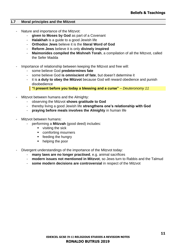#### <span id="page-10-0"></span>**1.7 Moral principles and the Mitzvot**

- Nature and importance of the Mitzvot:
	- **given to Moses by God** as part of a Covenant
	- **Halakhah** is a guide to a good Jewish life
	- **Orthodox Jews** believe it is the **literal Word of God**
	- **Reform Jews** believe it is only **divinely inspired**
	- **Maimonides compiled the Mishneh Torah**, a compilation of all the Mitzvot, called the Sefer Madda
- Importance of relationship between keeping the Mitzvot and free will:
	- some believe God **predetermines fate**
	- some believe God **is omniscient of fate**, but doesn't determine it
	- it is **a duty to obey the Mitzvot** because God will reward obedience and punish disobedience

**"I present before you today a blessing and a curse"** *– Deuteronomy 11*

- Mitzvot between humans and the Almighty:
	- observing the Mitzvot **shows gratitude to God**
	- thereby living a good Jewish life **strengthens one's relationship with God**
	- **praying before meals involves the Almighty** in human life
- Mitzvot between humans:
	- performing a **Mitzvah** (good deed) includes:
		- visiting the sick
		- comforting mourners
		- **•** feeding the hungry
		- helping the poor
- Divergent understandings of the importance of the Mitzvot today:
	- **many laws are no longer practised**, e.g. animal sacrifices
	- **modern issues not mentioned in Mitzvot**, so Jews turn to Rabbis and the Talmud
	- **some modern decisions are controversial** in respect of the Mitzvot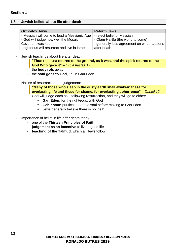#### <span id="page-11-0"></span>**1.8 Jewish beliefs about life after death**

| <b>Orthodox Jews</b>                          | <b>Reform Jews</b>                         |
|-----------------------------------------------|--------------------------------------------|
| - Messiah will come to lead a Messianic Age   | - reject belief of Messiah                 |
| - God will judge how well the Mosaic          | - Olam Ha-Ba (the world to come)           |
| Covenant was kept                             | - generally less agreement on what happens |
| - righteous will resurrect and live in Israel | after death                                |

Jewish teachings about life after death:

**"Thus the dust returns to the ground, as it was, and the spirit returns to the God Who gave it"** *– Ecclesiastes 12*

- the **body rots** away
- the **soul goes to God**, i.e. in Gan Eden
- Nature of resurrection and judgement:

**"Many of those who sleep in the dusty earth shall awaken: these for everlasting life and these for shame, for everlasting abhorrence"** *– Daniel 12*

- God will judge each soul following resurrection, and they will go to either:
	- **Gan Eden:** for the righteous, with God
	- **Gehinnom:** purification of the soul before moving to Gan Eden
	- Jews generally believe there is no 'hell'
- Importance of belief in life after death today:
	- one of the **Thirteen Principles of Faith**
	- **judgement as an incentive** to live a good life
	- **teaching of the Talmud**, which all Jews follow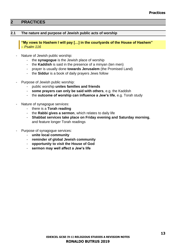#### <span id="page-12-0"></span>**2 PRACTICES**

#### <span id="page-12-1"></span>**2.1 The nature and purpose of Jewish public acts of worship**

**"My vows to Hashem I will pay […] in the courtyards of the House of Hashem"**  *– Psalm 116*

- Nature of Jewish public worship:
	- the **synagogue** is the Jewish place of worship
	- the **Kaddish** is said in the presence of a minyan (ten men)
	- prayer is usually done **towards Jerusalem** (the Promised Land)
	- the **Siddur** is a book of daily prayers Jews follow
- Purpose of Jewish public worship:
	- public worship **unites families and friends**
	- **some prayers can only be said with others**, e.g. the Kaddish
	- the **outcome of worship can influence a Jew's life**, e.g. Torah study
- Nature of synagogue services:
	- there is a **Torah reading**
	- the **Rabbi gives a sermon**, which relates to daily life
	- **Shabbat services take place on Friday evening and Saturday morning**, and feature longer Torah readings
- Purpose of synagogue services:
	- **unite local community**
	- **reminder of global Jewish community**
	- **opportunity to visit the House of God**
	- **sermon may well affect a Jew's life**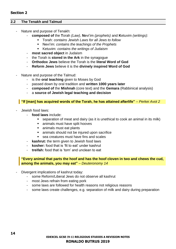#### <span id="page-13-0"></span>**2.2 The Tenakh and Talmud**

- Nature and purpose of Tenakh:
	- **composed of** the **T**orah *(Law)*, **N**evi'im *(prophets)* and **K**etuvim *(writings)*:
		- Torah: *contains Jewish Laws for all Jews to follow*
		- Nevi'im: *contains the teachings of the Prophets*
		- Ketuvim: *contains the writings of Judaism*
	- **most sacred object** in Judaism
	- the Torah is **stored in the Ark** in the synagogue
	- **Orthodox Jews** believe the Torah is the **literal Word of God**
	- **Reform Jews** believe it is the **divinely inspired Word of God**
- Nature and purpose of the Talmud:
	- is the **oral teaching** given to Moses by God
	- passed down by oral tradition and **written 1000 years later**
	- **composed of** the **Mishnah** (core text) and the **Gemara** (Rabbinical analysis)
	- a **source of Jewish legal teaching and decision**

#### **"If [man] has acquired words of the Torah, he has attained afterlife"** *– Perkei Avot 2*

- Jewish food laws:
	- **food laws** include:
		- separation of meat and dairy (as it is unethical to cook an animal in its milk)
		- animals must have split hooves
		- animals must eat plants
		- animals should not be injured upon sacrifice
		- sea creatures must have fins and scales
	- **kashrut:** the term given to Jewish food laws
	- **kosher:** food that is 'fit to eat' under kashrut
	- **treifah:** food that is 'torn' and unclean to eat

#### **"Every animal that parts the hoof and has the hoof cloven in two and chews the cud, among the animals, you may eat"** *– Deuteronomy 14*

- Divergent implications of kashrut today:
	- some Reform/Liberal Jews do not observe all kashrut
	- most Jews refrain from eating pork
	- some laws are followed for health reasons not religious reasons
	- some laws create challenges, e.g. separation of milk and dairy during preparation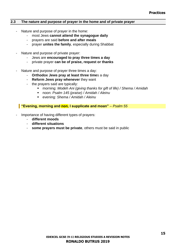#### <span id="page-14-0"></span>**2.3 The nature and purpose of prayer in the home and of private prayer**

- Nature and purpose of prayer in the home:
	- most Jews **cannot attend the synagogue daily**
	- prayers are said **before and after meals**
	- prayer **unites the family**, especially during Shabbat
- Nature and purpose of private prayer:
	- Jews are **encouraged to pray three times a day**
	- private prayer **can be of praise, request or thanks**
- Nature and purpose of prayer three times a day:
	- **Orthodox Jews pray at least three time**s a day
	- **Reform Jews pray whenever** they want
	- the prayers said are typically:
		- morning: *Modeh Ani (giving thanks for gift of life) / Shema / Amidah*
		- noon: *Psalm 145 (praise) / Amidah / Aleinu*
		- evening: *Shema / Amidah / Aleinu*

**"Evening, morning and non, I supplicate and moan"** *– Psalm 55*

- Importance of having different types of prayers:
	- **different moods**
	- **different situations**
	- **some prayers must be private**, others must be said in public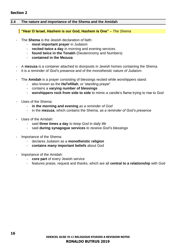#### **Section 2**

#### <span id="page-15-0"></span>**2.4 The nature and importance of the Shema and the Amidah**

#### **"Hear O Israel, Hashem is our God, Hashem is One"** *– The Shema*

- The **Shema** is the Jewish declaration of faith:
	- **most important prayer** in Judaism
	- **recited twice a day** in morning and evening services
	- **found twice in the Tenakh** (Deuteronomy and Numbers)
	- **contained in the Mezuza**
- A **mezuza** is a container attached to doorposts in Jewish homes containing the Shema.
- It is a reminder of *God's presence* and of the *monotheistic nature of Judaism*.
- The **Amidah** is a prayer consisting of blessings recited while worshippers stand:
	- also known as the **HaTefillah**, or 'standing prayer'
	- contains a **varying number of blessings**
	- **worshippers rock from side to side** to mimic a candle's flame trying to rise to God
- Uses of the Shema:
	- **in the morning and evening** *as a reminder of God*
	- in the **mezuza**, which contains the Shema, *as a reminder of God's presence*
- Uses of the Amidah:
	- said **three times a day** *to keep God in daily life*
	- said **during synagogue services** *to receive God's blessings*
- Importance of the Shema:
	- declares Judaism as a **monotheistic religion**
	- **contains many important beliefs** about God
- Importance of the Amidah:
	- **core part** of every Jewish service
	- features praise, request and thanks, which are all **central to a relationship** with God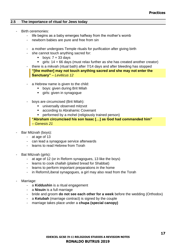#### <span id="page-16-0"></span>**2.5 The importance of ritual for Jews today**

- Birth ceremonies:
	- life begins as a baby emerges halfway from the mother's womb
	- newborn babies are pure and free from sin
	- a mother undergoes Temple rituals for purification after giving birth
	- she cannot touch anything sacred for:
		- $\bullet$  boys:  $7 + 33$  days
		- girls: 14 + 66 days (must relax further as she has created another creator)
	- there is a mikvah (ritual bath) after 7/14 days and after bleeding has stopped **"[the mother] may not touch anything sacred and she may not enter the Sanctuary"** *– Leviticus 12*
	- a Hebrew name is given to the child:
		- boys: given during Brit Milah
		- **·** girls: given in synagogue
	- boys are circumcised (Brit Milah):
		- universally observed mitzvot
		- according to Abrahamic Covenant
		- **•** performed by a mohel (religiously trained person)

**"Abraham circumcised his son Isaac […] as God had commanded him"**  *– Genesis 21*

- Bar Mitzvah (boys):
	- at age of 13
	- can lead a synagogue service afterwards
	- learns to read Hebrew from Torah
- Bat Mitzvah (girls):
	- at age of 12 (or in Reform synagogues, 13 like the boys)
	- learns to cook challah (plaited bread for Shabbat)
	- learns to perform important preparations in the home
	- in Reform/Liberal synagogues, a girl may also read from the Torah
- Marriage:
	- a **Kiddushin** is a ritual engagement
	- a **Nisuin** is a full marriage
	- bride and groom **do not see each other for a week** before the wedding (Orthodox)
	- a **Ketubah** (marriage contract) is signed by the couple
	- marriage takes place under a **chupa (special canopy)**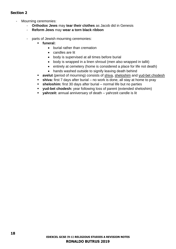#### **Section 2**

- Mourning ceremonies:
	- **Orthodox Jews** may **tear their clothes** as Jacob did in Genesis
	- **Reform Jews** may **wear a torn black ribbon**
	- parts of Jewish mourning ceremonies:
		- **funeral:**
			- burial rather than cremation
			- candles are lit
			- body is supervised at all times before burial
			- body is wrapped in a linen shroud (men also wrapped in tallit)
			- entirely at cemetery (home is considered a place for life not death)
			- hands washed outside to signify leaving death behind
		- **avelut** (period of mourning) consists of shiva, sheloshim and yud-bet chodesh
		- **EXTES 15 Shiva:** first 7 days after burial no work is done, all stay at home to pray
		- sheloshim: first 30 days after burial normal life but no parties
		- **yud-bet chodesh:** year following loss of parent (extended sheloshim)
		- **yahrzeit:** annual anniversary of death yahrzeit candle is lit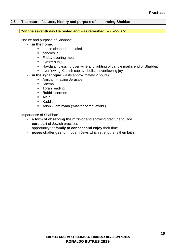#### <span id="page-18-0"></span>**2.6 The nature, features, history and purpose of celebrating Shabbat**

#### **"on the seventh day He rested and was refreshed"** *– Exodus 31*

- Nature and purpose of Shabbat:
	- **in the home:**
		- house cleaned and tidied
		- candles lit
		- **Example 1** Friday evening meal
		- hymns sung
		- Havdalah blessing over wine and lighting of candle marks end of Shabbat
		- overflowing Kiddish cup symbolises overflowing joy
	- **in the synagogue:** (lasts approximately 2 hours)
		- Amidah facing Jerusalem
		- Shema
		- Torah reading
		- Rabbi's sermon
		- Aleinu
		- Kaddish
		- Adon Olam hymn ('Master of the World')
- Importance of Shabbat:
	- a **form of observing the mitzvot** and showing gratitude to God
	- **core part** of Jewish practices
	- opportunity for **family to connect and enjoy** their time
	- **poses challenges** for modern Jews which strengthens their faith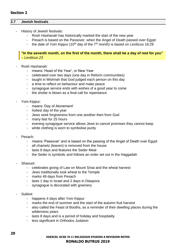#### <span id="page-19-0"></span>**2.7 Jewish festivals**

- History of Jewish festivals:
	- Rosh Hashanah has historically marked the start of the new year
	- Pesach is based on the Passover, when the Angel of Death passed over Egypt
	- the date of Yom Kippur (10<sup>th</sup> day of the  $7<sup>th</sup>$  month) is based on Leviticus 16:29

**"In the seventh month, on the first of the month, there shall be a day of rest for you"**  *– Leviticus 23*

- Rosh Hashanah:
	- means 'Head of the Year', or New Year
	- celebrated over two days (one day in Reform communities)
	- taught in Mishnah that God judged each person on this day
	- a time to reflect on behaviour and make peace
	- synagogue service ends with wishes of a good year to come
	- the shofar is blown as a final call for repentance
- Yom Kippur:
	- means 'Day of Atonement'
	- holiest day of the year
	- Jews seek forgiveness from one another then from God
	- many fast for 25 hours
	- evening synagogue service allows Jews to cancel promises they cannot keep
	- white clothing is worn to symbolise purity
- Pesach:
	- means 'Passover' and is based on the passing of the Angel of Death over Egypt
	- all chametz (leaven) is removed from the house
	- lasts 8 days and features the Seder Meal
	- the Seder is symbolic and follows an order set out in the Haggadah
- Shavuot:
	- celebrates giving of Law on Mount Sinai and the wheat harvest
	- Jews traditionally took wheat to the Temple
	- marks 49 days from Pesach
	- lasts 1 day in Israel and 2 days in Diaspora
	- synagogue is decorated with greenery
- Sukkot:
	- happens 4 days after Yom Kippur
	- marks the end of summer and the start of the autumn fruit harvest
	- also called the Feast of Booths, as a reminder of their dwelling places during the wilderness years
	- lasts 8 days and is a period of holiday and hospitality
	- less significant in Orthodox Judaism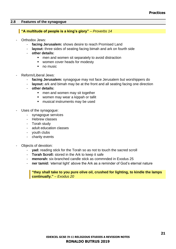#### <span id="page-20-0"></span>**2.8 Features of the synagogue**

#### **"A multitude of people is a king's glory"** *– Proverbs 14*

- Orthodox Jews:
	- **facing Jerusalem:** shows desire to reach Promised Land
	- **layout:** three sides of seating facing bimah and ark on fourth side
	- **other details:**
		- men and women sit separately to avoid distraction
		- women cover heads for modesty
		- no music
- Reform/Liberal Jews:
	- **facing Jerusalem:** synagogue may not face Jerusalem but worshippers do
	- layout: ark and bimah may be at the front and all seating facing one direction
	- **other details:**
		- men and women may sit together
		- women may wear a kippah or tallit
		- musical instruments may be used
- Uses of the synagogue:
	- synagogue services
	- Hebrew classes
	- Torah study
	- adult education classes
	- vouth clubs
	- charity events
- Objects of devotion:
	- **yad:** reading stick for the Torah so as not to touch the sacred scroll
	- **Torah Scroll:** stored in the Ark to keep it safe
	- **menorah:** six-branched candle stick as commnded in Exodus 25
	- **ner tamid:** 'eternal light' above the Ark as a reminder of God's eternal nature

#### **"they shall take to you pure olive oil, crushed for lighting, to kindle the lamps continually."** *– Exodus 20*